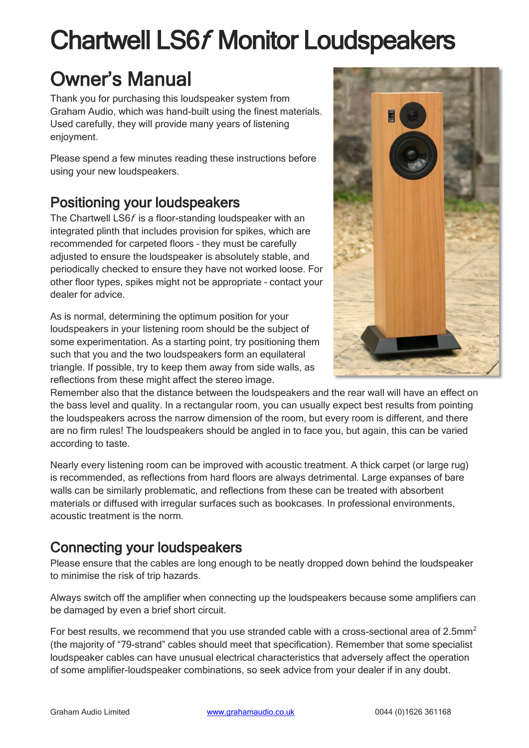# Chartwell LS6f Monitor Loudspeakers

# Owner's Manual

Thank you for purchasing this loudspeaker system from Graham Audio, which was hand-built using the finest materials. Used carefully, they will provide many years of listening enjoyment.

Please spend a few minutes reading these instructions before using your new loudspeakers.

# Positioning your loudspeakers

The Chartwell LS6f is a floor-standing loudspeaker with an integrated plinth that includes provision for spikes, which are recommended for carpeted floors – they must be carefully adjusted to ensure the loudspeaker is absolutely stable, and periodically checked to ensure they have not worked loose. For other floor types, spikes might not be appropriate – contact your dealer for advice.

As is normal, determining the optimum position for your loudspeakers in your listening room should be the subject of some experimentation. As a starting point, try positioning them such that you and the two loudspeakers form an equilateral triangle. If possible, try to keep them away from side walls, as reflections from these might affect the stereo image.



Remember also that the distance between the loudspeakers and the rear wall will have an effect on the bass level and quality. In a rectangular room, you can usually expect best results from pointing the loudspeakers across the narrow dimension of the room, but every room is different, and there are no firm rules! The loudspeakers should be angled in to face you, but again, this can be varied according to taste.

Nearly every listening room can be improved with acoustic treatment. A thick carpet (or large rug) is recommended, as reflections from hard floors are always detrimental. Large expanses of bare walls can be similarly problematic, and reflections from these can be treated with absorbent materials or diffused with irregular surfaces such as bookcases. In professional environments, acoustic treatment is the norm.

# Connecting your loudspeakers

Please ensure that the cables are long enough to be neatly dropped down behind the loudspeaker to minimise the risk of trip hazards.

Always switch off the amplifier when connecting up the loudspeakers because some amplifiers can be damaged by even a brief short circuit.

For best results, we recommend that you use stranded cable with a cross-sectional area of 2.5mm<sup>2</sup> (the majority of "79-strand" cables should meet that specification). Remember that some specialist loudspeaker cables can have unusual electrical characteristics that adversely affect the operation of some amplifier-loudspeaker combinations, so seek advice from your dealer if in any doubt.